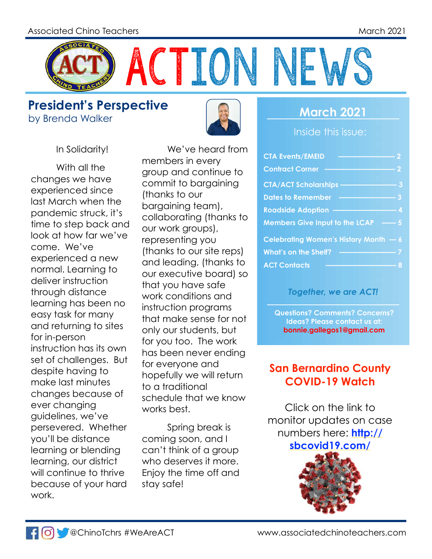

**President's Perspective** by Brenda Walker **March 2021** 



In Solidarity!

With all the changes we have experienced since last March when the pandemic struck, it's time to step back and look at how far we've come. We've experienced a new normal. Learning to deliver instruction through distance learning has been no easy task for many and returning to sites for in-person instruction has its own set of challenges. But despite having to make last minutes changes because of ever changing guidelines, we've persevered. Whether you'll be distance learning or blending learning, our district will continue to thrive because of your hard work.

We've heard from members in every group and continue to commit to bargaining (thanks to our bargaining team), collaborating (thanks to our work groups), representing you (thanks to our site reps) and leading, (thanks to our executive board) so that you have safe work conditions and instruction programs that make sense for not only our students, but for you too. The work has been never ending for everyone and hopefully we will return to a traditional schedule that we know works best.

Spring break is coming soon, and I can't think of a group who deserves it more. Enjoy the time off and stay safe!

Inside this issue:

| <b>CTA Events/EMEID</b>               | 2                |
|---------------------------------------|------------------|
| <b>Contract Corner</b>                | 2                |
| <b>CTA/ACT Scholarships</b>           | 3                |
| <b>Dates to Remember</b>              | 3                |
| <b>Roadside Adoption</b>              | $\boldsymbol{A}$ |
| <b>Members Give Input to the LCAP</b> | $-5$             |
| Celebrating Women's History Month - 6 |                  |
| <b>What's on the Shelf?</b>           |                  |
| <b>ACT Contacts</b>                   |                  |

#### *Together, we are ACT!*

**Questions? Comments? Concerns? Ideas? Please contact us at: bonnie.gallegos1@gmail.com**

### **San Bernardino County COVID-19 Watch**

Click on the link to monitor updates on case n[umbers here:](http://sbcovid19.com/) **[http://](http://sbcovid19.com/) [sbcovid19.com/](http://sbcovid19.com/)**

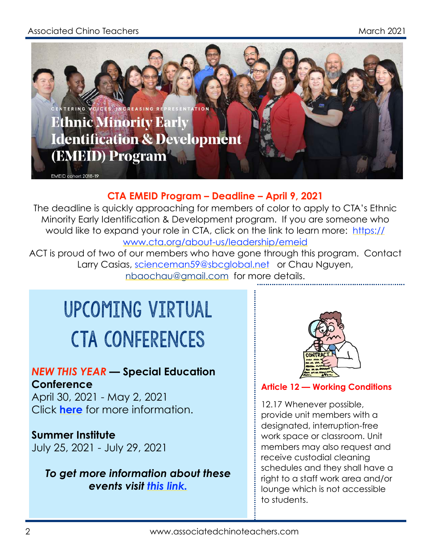#### Associated Chino Teachers March 2021 - Associated Chino Teachers March 2021



#### **CTA EMEID Program – Deadline – April 9, 2021**

The deadline is quickly approaching for members of color to apply to CTA's Ethnic Minority Early Identification & Development program. If you are someone who would like to expand your role in CTA, click on the link to learn more: [https://](https://www.cta.org/about-us/leadership/emeid) [www.cta.org/about-us/leadership/emeid](https://www.cta.org/about-us/leadership/emeid)

ACT is proud of two of our members who have gone through this program. Contact Larry Casias, [scienceman59@sbcglobal.net](mailto:scienceman59@sbcglobal.net) or Chau Nguyen, [nbaochau@gmail.com](mailto:nbaochau@gmail.com) for more details.

# upcoming virtual cTA Conferences

#### *NEW THIS YEAR* **— Special Education Conference**

April 30, 2021 - May 2, 2021 Click **[here](https://www.cta.org/event/2021-special-education-conference)** for more information.

#### **Summer Institute**

July 25, 2021 - July 29, 2021

#### *To get more information about these events visit [this link.](https://www.cta.org/events/list/?tribe__ecp_custom_3=Virtual&tribe_eventcategory%5B0%5D=1156)*



**Article 12 — Working Conditions**

12.17 Whenever possible, provide unit members with a designated, interruption-free work space or classroom. Unit members may also request and receive custodial cleaning schedules and they shall have a right to a staff work area and/or lounge which is not accessible to students.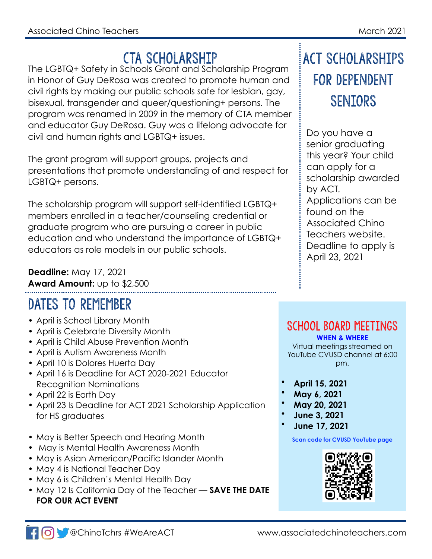## CTA SCHOLARSHIP

The LGBTQ+ Safety in Schools Grant and Scholarship Program in Honor of Guy DeRosa was created to promote human and civil rights by making our public schools safe for lesbian, gay, bisexual, transgender and queer/questioning+ persons. The program was renamed in 2009 in the memory of CTA member and educator Guy DeRosa. Guy was a lifelong advocate for civil and human rights and LGBTQ+ issues.

The grant program will support groups, projects and presentations that promote understanding of and respect for LGBTQ+ persons.

The scholarship program will support self-identified LGBTQ+ members enrolled in a teacher/counseling credential or graduate program who are pursuing a career in public education and who understand the importance of LGBTQ+ educators as role models in our public schools.

**Deadline:** May 17, 2021 **Award Amount:** up to \$2,500

## DATES TO REMEMBER

- April is School Library Month
- April is Celebrate Diversity Month
- April is Child Abuse Prevention Month
- April is Autism Awareness Month
- April 10 is Dolores Huerta Day
- April 16 is Deadline for ACT 2020-2021 Educator Recognition Nominations
- April 22 is Earth Day
- April 23 Is Deadline for ACT 2021 Scholarship Application for HS graduates
- May is Better Speech and Hearing Month
- May is Mental Health Awareness Month
- May is Asian American/Pacific Islander Month
- May 4 is National Teacher Day
- May 6 is Children's Mental Health Day
- May 12 Is California Day of the Teacher **SAVE THE DATE FOR OUR ACT EVENT**

## ACT SCHOLARSHIPS FOR DEPENDENT **SENTORS**

Do you have a senior graduating this year? Your child can apply for a scholarship awarded by ACT. Applications can be found on the Associated Chino Teachers website. Deadline to apply is April 23, 2021

## SCHOOL BOARD MEETINGS

**WHEN & WHERE** Virtual meetings streamed on YouTube CVUSD channel at 6:00 pm.

- **April 15, 2021**
- **May 6, 2021**
- **May 20, 2021**
- **June 3, 2021**
- **June 17, 2021**

#### **Scan code for CVUSD YouTube page**

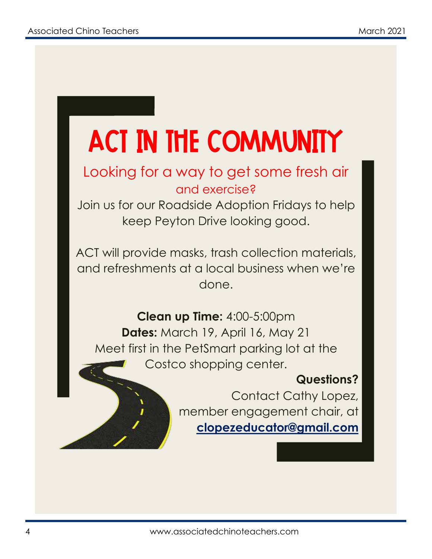# ACT in the Community

## Looking for a way to get some fresh air and exercise?

Join us for our Roadside Adoption Fridays to help keep Peyton Drive looking good.

ACT will provide masks, trash collection materials, and refreshments at a local business when we're done.

**Clean up Time:** 4:00-5:00pm **Dates:** March 19, April 16, May 21 Meet first in the PetSmart parking lot at the Costco shopping center.

## **Questions?**

Contact Cathy Lopez, member engagement chair, at **clopezeducator@gmail.com**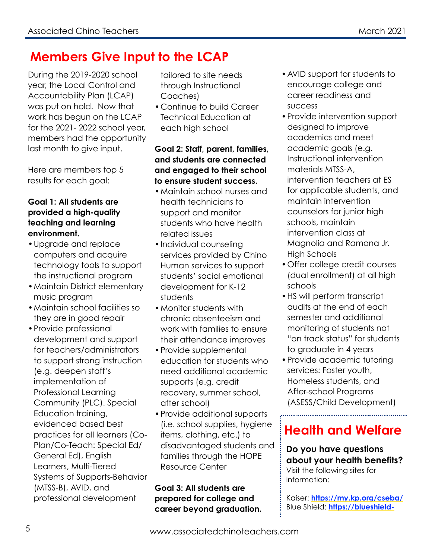## **Members Give Input to the LCAP**

During the 2019-2020 school year, the Local Control and Accountability Plan (LCAP) was put on hold. Now that work has begun on the LCAP for the 2021- 2022 school year, members had the opportunity last month to give input.

Here are members top 5 results for each goal:

#### **Goal 1: All students are provided a high-quality teaching and learning environment.**

- •Upgrade and replace computers and acquire technology tools to support the instructional program
- •Maintain District elementary music program
- •Maintain school facilities so they are in good repair
- •Provide professional development and support for teachers/administrators to support strong instruction (e.g. deepen staff's implementation of Professional Learning Community (PLC). Special Education training, evidenced based best practices for all learners (Co-Plan/Co-Teach: Special Ed/ General Ed), English Learners, Multi-Tiered Systems of Supports-Behavior (MTSS-B), AVID, and professional development

tailored to site needs through Instructional Coaches)

•Continue to build Career Technical Education at each high school

**Goal 2: Staff, parent, families, and students are connected and engaged to their school to ensure student success.**

- •Maintain school nurses and health technicians to support and monitor students who have health related issues
- •Individual counseling services provided by Chino Human services to support students' social emotional development for K-12 students
- •Monitor students with chronic absenteeism and work with families to ensure their attendance improves
- •Provide supplemental education for students who need additional academic supports (e.g. credit recovery, summer school, after school)
- •Provide additional supports (i.e. school supplies, hygiene items, clothing, etc.) to disadvantaged students and families through the HOPE Resource Center

**Goal 3: All students are prepared for college and career beyond graduation.**

- •AVID support for students to encourage college and career readiness and success
- •Provide intervention support designed to improve academics and meet academic goals (e.g. Instructional intervention materials MTSS-A, intervention teachers at ES for applicable students, and maintain intervention counselors for junior high schools, maintain intervention class at Magnolia and Ramona Jr. High Schools
- •Offer college credit courses (dual enrollment) at all high schools
- •HS will perform transcript audits at the end of each semester and additional monitoring of students not "on track status" for students to graduate in 4 years
- •Provide academic tutoring services: Foster youth, Homeless students, and After-school Programs (ASESS/Child Development)

## **Health and Welfare**

**Do you have questions about your health benefits?** Visit the following sites for information:

Kaiser: **<https://my.kp.org/cseba/>** Blue Shield: **[https://blueshield-](https://blueshield-prod.modolabs.net/bsca12)**